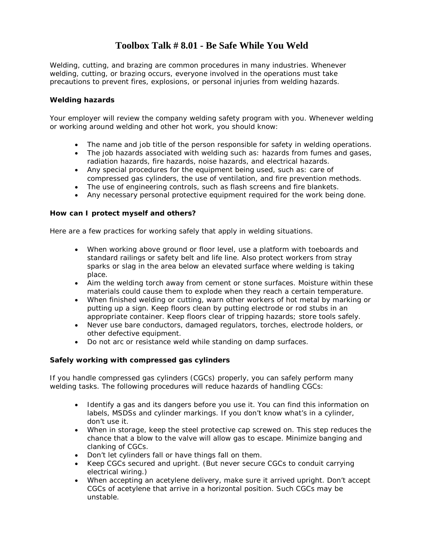## **Toolbox Talk # 8.01 - Be Safe While You Weld**

Welding, cutting, and brazing are common procedures in many industries. Whenever welding, cutting, or brazing occurs, everyone involved in the operations must take precautions to prevent fires, explosions, or personal injuries from welding hazards.

#### **Welding hazards**

Your employer will review the company welding safety program with you. Whenever welding or working around welding and other hot work, you should know:

- The name and job title of the person responsible for safety in welding operations.
- The job hazards associated with welding such as: hazards from fumes and gases, radiation hazards, fire hazards, noise hazards, and electrical hazards.
- Any special procedures for the equipment being used, such as: care of compressed gas cylinders, the use of ventilation, and fire prevention methods.
- The use of engineering controls, such as flash screens and fire blankets.
- Any necessary personal protective equipment required for the work being done.

### **How can I protect myself and others?**

Here are a few practices for working safely that apply in welding situations.

- When working above ground or floor level, use a platform with toeboards and standard railings or safety belt and life line. Also protect workers from stray sparks or slag in the area below an elevated surface where welding is taking place.
- Aim the welding torch away from cement or stone surfaces. Moisture within these materials could cause them to explode when they reach a certain temperature.
- When finished welding or cutting, warn other workers of hot metal by marking or putting up a sign. Keep floors clean by putting electrode or rod stubs in an appropriate container. Keep floors clear of tripping hazards; store tools safely.
- Never use bare conductors, damaged regulators, torches, electrode holders, or other defective equipment.
- Do not arc or resistance weld while standing on damp surfaces.

#### **Safely working with compressed gas cylinders**

If you handle compressed gas cylinders (CGCs) properly, you can safely perform many welding tasks. The following procedures will reduce hazards of handling CGCs:

- Identify a gas and its dangers before you use it. You can find this information on labels, MSDSs and cylinder markings. If you don't know what's in a cylinder, don't use it.
- When in storage, keep the steel protective cap screwed on. This step reduces the chance that a blow to the valve will allow gas to escape. Minimize banging and clanking of CGCs.
- Don't let cylinders fall or have things fall on them.
- Keep CGCs secured and upright. (But never secure CGCs to conduit carrying electrical wiring.)
- When accepting an acetylene delivery, make sure it arrived upright. Don't accept CGCs of acetylene that arrive in a horizontal position. Such CGCs may be unstable.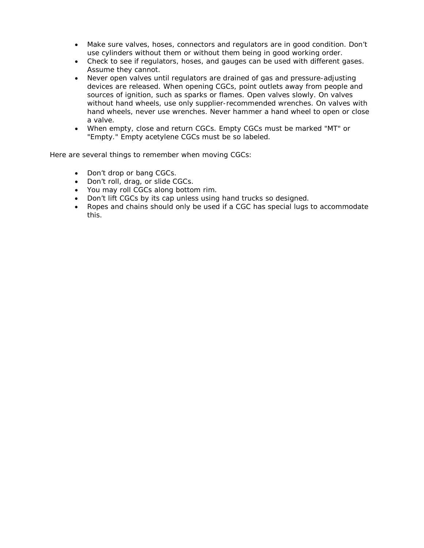- Make sure valves, hoses, connectors and regulators are in good condition. Don't use cylinders without them or without them being in good working order.
- Check to see if regulators, hoses, and gauges can be used with different gases. Assume they cannot.
- Never open valves until regulators are drained of gas and pressure-adjusting devices are released. When opening CGCs, point outlets away from people and sources of ignition, such as sparks or flames. Open valves slowly. On valves without hand wheels, use only supplier-recommended wrenches. On valves with hand wheels, never use wrenches. Never hammer a hand wheel to open or close a valve.
- When empty, close and return CGCs. Empty CGCs must be marked "MT" or "Empty." Empty acetylene CGCs must be so labeled.

Here are several things to remember when moving CGCs:

- Don't drop or bang CGCs.
- Don't roll, drag, or slide CGCs.
- You may roll CGCs along bottom rim.
- Don't lift CGCs by its cap unless using hand trucks so designed.
- Ropes and chains should only be used if a CGC has special lugs to accommodate this.